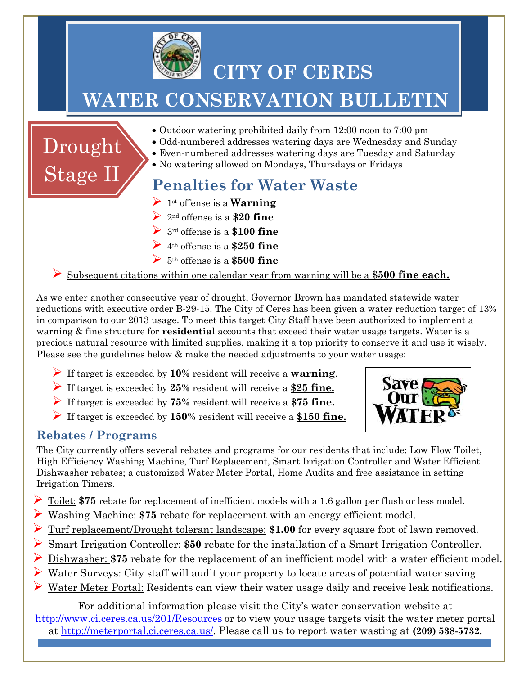

 **CITY OF CERES**

## **WATER CONSERVATION BULLETIN**

- Outdoor watering prohibited daily from 12:00 noon to 7:00 pm • Odd-numbered addresses watering days are Wednesday and Sunday Even-numbered addresses watering days are Tuesday and Saturday No watering allowed on Mondays, Thursdays or Fridays **Penalties for Water Waste**  <sup>1</sup>st offense is a **Warning** <sup>2</sup>nd offense is a **\$20 fine** <sup>3</sup>rd offense is a **\$100 fine**   $\blacktriangleright$  4<sup>th</sup> offense is a **\$250 fine**  $5<sup>th</sup>$  offense is a **\$500 fine** Drought Stage II
	- Subsequent citations within one calendar year from warning will be a **\$500 fine each.**

As we enter another consecutive year of drought, Governor Brown has mandated statewide water reductions with executive order B-29-15. The City of Ceres has been given a water reduction target of 13% in comparison to our 2013 usage. To meet this target City Staff have been authorized to implement a warning & fine structure for **residential** accounts that exceed their water usage targets. Water is a precious natural resource with limited supplies, making it a top priority to conserve it and use it wisely. Please see the guidelines below & make the needed adjustments to your water usage:

- If target is exceeded by **10%** resident will receive a **warning**.
- If target is exceeded by **25%** resident will receive a **\$25 fine.**
- If target is exceeded by **75%** resident will receive a **\$75 fine.**
- If target is exceeded by **150%** resident will receive a **\$150 fine.**



## **Rebates / Programs**

The City currently offers several rebates and programs for our residents that include: Low Flow Toilet, High Efficiency Washing Machine, Turf Replacement, Smart Irrigation Controller and Water Efficient Dishwasher rebates; a customized Water Meter Portal, Home Audits and free assistance in setting Irrigation Timers.

- Toilet: \$75 rebate for replacement of inefficient models with a 1.6 gallon per flush or less model.
- Washing Machine: **\$75** rebate for replacement with an energy efficient model.
- Turf replacement/Drought tolerant landscape: **\$1.00** for every square foot of lawn removed.
- Smart Irrigation Controller: **\$50** rebate for the installation of a Smart Irrigation Controller.
- Dishwasher: **\$75** rebate for the replacement of an inefficient model with a water efficient model.
- Water Surveys: City staff will audit your property to locate areas of potential water saving.
- Water Meter Portal: Residents can view their water usage daily and receive leak notifications.

For additional information please visit the City's water conservation website at <http://www.ci.ceres.ca.us/201/Resources> or to view your usage targets visit the water meter portal at [http://meterportal.ci.ceres.ca.us/.](http://meterportal.ci.ceres.ca.us/) Please call us to report water wasting at **(209) 538-5732.**